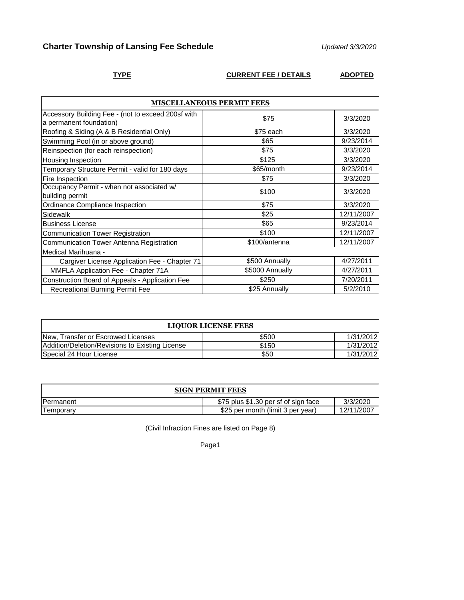# **Charter Township of Lansing Fee Schedule** *Updated 3/3/2020*

## **TYPE CURRENT FEE / DETAILS ADOPTED**

| <b>MISCELLANEOUS PERMIT FEES</b>                                              |                 |            |
|-------------------------------------------------------------------------------|-----------------|------------|
| Accessory Building Fee - (not to exceed 200sf with<br>a permanent foundation) | \$75            | 3/3/2020   |
| Roofing & Siding (A & B Residential Only)                                     | \$75 each       | 3/3/2020   |
| Swimming Pool (in or above ground)                                            | \$65            | 9/23/2014  |
| Reinspection (for each reinspection)                                          | \$75            | 3/3/2020   |
| Housing Inspection                                                            | \$125           | 3/3/2020   |
| Temporary Structure Permit - valid for 180 days                               | \$65/month      | 9/23/2014  |
| Fire Inspection                                                               | \$75            | 3/3/2020   |
| Occupancy Permit - when not associated w/<br>building permit                  | \$100           | 3/3/2020   |
| Ordinance Compliance Inspection                                               | \$75            | 3/3/2020   |
| Sidewalk                                                                      | \$25            | 12/11/2007 |
| <b>Business License</b>                                                       | \$65            | 9/23/2014  |
| <b>Communication Tower Registration</b>                                       | \$100           | 12/11/2007 |
| <b>Communication Tower Antenna Registration</b>                               | \$100/antenna   | 12/11/2007 |
| Medical Marihuana -                                                           |                 |            |
| Cargiver License Application Fee - Chapter 71                                 | \$500 Annually  | 4/27/2011  |
| MMFLA Application Fee - Chapter 71A                                           | \$5000 Annually | 4/27/2011  |
| Construction Board of Appeals - Application Fee                               | \$250           | 7/20/2011  |
| <b>Recreational Burning Permit Fee</b>                                        | \$25 Annually   | 5/2/2010   |

| <b>LIQUOR LICENSE FEES</b>                      |       |           |
|-------------------------------------------------|-------|-----------|
| New, Transfer or Escrowed Licenses              | \$500 | 1/31/2012 |
| Addition/Deletion/Revisions to Existing License | \$150 | 1/31/2012 |
| Special 24 Hour License                         | \$50  | 1/31/2012 |

| <b>SIGN PERMIT FEES</b> |                                      |            |
|-------------------------|--------------------------------------|------------|
| <b>IPermanent</b>       | \$75 plus \$1.30 per sf of sign face | 3/3/2020   |
| l emporarv              | \$25 per month (limit 3 per year)    | 12/11/2007 |

(Civil Infraction Fines are listed on Page 8)

Page1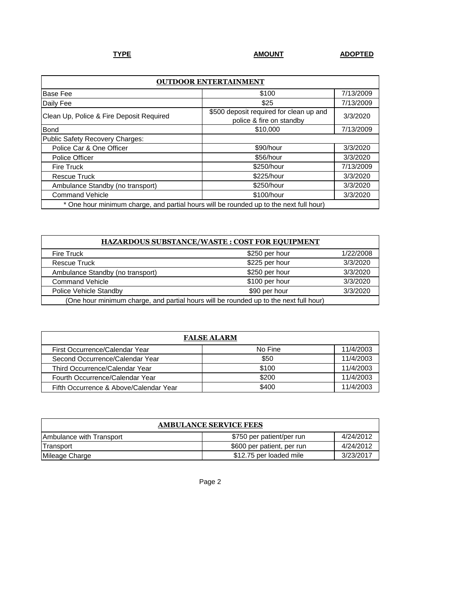| <b>OUTDOOR ENTERTAINMENT</b>                                                           |                                                                     |           |
|----------------------------------------------------------------------------------------|---------------------------------------------------------------------|-----------|
| <b>Base Fee</b>                                                                        | \$100                                                               | 7/13/2009 |
| Daily Fee                                                                              | \$25                                                                | 7/13/2009 |
| Clean Up, Police & Fire Deposit Required                                               | \$500 deposit required for clean up and<br>police & fire on standby | 3/3/2020  |
| <b>Bond</b>                                                                            | \$10,000                                                            | 7/13/2009 |
| Public Safety Recovery Charges:                                                        |                                                                     |           |
| Police Car & One Officer                                                               | \$90/hour                                                           | 3/3/2020  |
| Police Officer                                                                         | \$56/hour                                                           | 3/3/2020  |
| <b>Fire Truck</b>                                                                      | \$250/hour                                                          | 7/13/2009 |
| <b>Rescue Truck</b>                                                                    | \$225/hour                                                          | 3/3/2020  |
| Ambulance Standby (no transport)                                                       | \$250/hour                                                          | 3/3/2020  |
| <b>Command Vehicle</b>                                                                 | \$100/hour                                                          | 3/3/2020  |
| * One hour minimum charge, and partial hours will be rounded up to the next full hour) |                                                                     |           |

| HAZARDOUS SUBSTANCE/WASTE: COST FOR EQUIPMENT                                         |                |           |
|---------------------------------------------------------------------------------------|----------------|-----------|
| <b>Fire Truck</b>                                                                     | \$250 per hour | 1/22/2008 |
| <b>Rescue Truck</b>                                                                   | \$225 per hour | 3/3/2020  |
| Ambulance Standby (no transport)                                                      | \$250 per hour | 3/3/2020  |
| <b>Command Vehicle</b>                                                                | \$100 per hour | 3/3/2020  |
| Police Vehicle Standby                                                                | \$90 per hour  | 3/3/2020  |
| (One hour minimum charge, and partial hours will be rounded up to the next full hour) |                |           |

| <b>FALSE ALARM</b>                     |         |           |
|----------------------------------------|---------|-----------|
| First Occurrence/Calendar Year         | No Fine | 11/4/2003 |
| Second Occurrence/Calendar Year        | \$50    | 11/4/2003 |
| Third Occurrence/Calendar Year         | \$100   | 11/4/2003 |
| Fourth Occurrence/Calendar Year        | \$200   | 11/4/2003 |
| Fifth Occurrence & Above/Calendar Year | \$400   | 11/4/2003 |

| <b>AMBULANCE SERVICE FEES</b> |                            |           |
|-------------------------------|----------------------------|-----------|
| Ambulance with Transport      | \$750 per patient/per run  | 4/24/2012 |
| Transport                     | \$600 per patient, per run | 4/24/2012 |
| Mileage Charge                | \$12.75 per loaded mile    | 3/23/2017 |

Page 2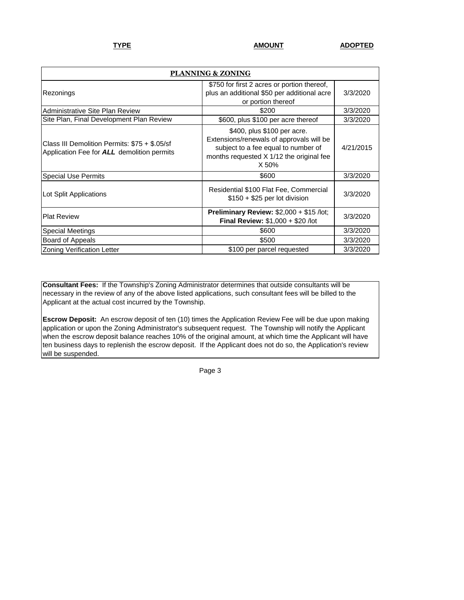| PLANNING & ZONING                                                                                  |                                                                                                                                                                     |           |
|----------------------------------------------------------------------------------------------------|---------------------------------------------------------------------------------------------------------------------------------------------------------------------|-----------|
| Rezonings                                                                                          | \$750 for first 2 acres or portion thereof,<br>plus an additional \$50 per additional acre<br>or portion thereof                                                    | 3/3/2020  |
| <b>Administrative Site Plan Review</b>                                                             | \$200                                                                                                                                                               | 3/3/2020  |
| Site Plan, Final Development Plan Review                                                           | \$600, plus \$100 per acre thereof                                                                                                                                  | 3/3/2020  |
| Class III Demolition Permits: \$75 + \$.05/sf<br>Application Fee for <b>ALL</b> demolition permits | \$400, plus \$100 per acre.<br>Extensions/renewals of approvals will be<br>subject to a fee equal to number of<br>months requested X 1/12 the original fee<br>X 50% | 4/21/2015 |
| <b>Special Use Permits</b>                                                                         | \$600                                                                                                                                                               | 3/3/2020  |
| Lot Split Applications                                                                             | Residential \$100 Flat Fee, Commercial<br>$$150 + $25$ per lot division                                                                                             | 3/3/2020  |
| <b>Plat Review</b>                                                                                 | <b>Preliminary Review: <math>\$2,000 + \$15</math> /lot;</b><br><b>Final Review: \$1,000 + \$20 /lot</b>                                                            | 3/3/2020  |
| <b>Special Meetings</b>                                                                            | \$600                                                                                                                                                               | 3/3/2020  |
| Board of Appeals                                                                                   | \$500                                                                                                                                                               | 3/3/2020  |
| <b>Zoning Verification Letter</b>                                                                  | \$100 per parcel requested                                                                                                                                          | 3/3/2020  |

**Consultant Fees:** If the Township's Zoning Administrator determines that outside consultants will be necessary in the review of any of the above listed applications, such consultant fees will be billed to the Applicant at the actual cost incurred by the Township.

**Escrow Deposit:** An escrow deposit of ten (10) times the Application Review Fee will be due upon making application or upon the Zoning Administrator's subsequent request. The Township will notify the Applicant when the escrow deposit balance reaches 10% of the original amount, at which time the Applicant will have ten business days to replenish the escrow deposit. If the Applicant does not do so, the Application's review will be suspended.

Page 3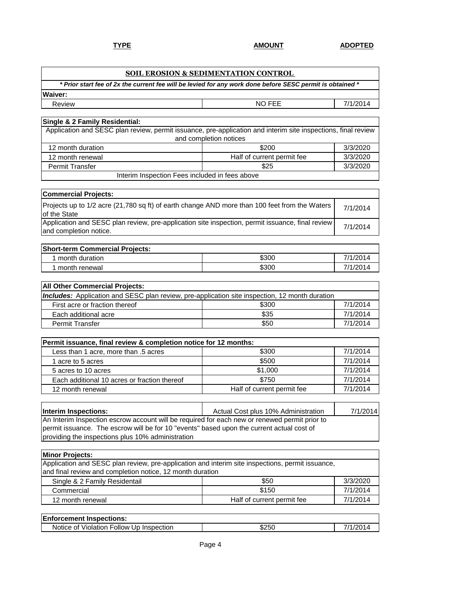|                                                                                                                                                | <b>SOIL EROSION &amp; SEDIMENTATION CONTROL</b> |          |
|------------------------------------------------------------------------------------------------------------------------------------------------|-------------------------------------------------|----------|
| * Prior start fee of 2x the current fee will be levied for any work done before SESC permit is obtained *                                      |                                                 |          |
| Waiver:                                                                                                                                        |                                                 |          |
| Review                                                                                                                                         | <b>NO FEE</b>                                   | 7/1/2014 |
|                                                                                                                                                |                                                 |          |
| Single & 2 Family Residential:                                                                                                                 |                                                 |          |
| Application and SESC plan review, permit issuance, pre-application and interim site inspections, final review                                  | and completion notices                          |          |
| 12 month duration                                                                                                                              | \$200                                           | 3/3/2020 |
| 12 month renewal                                                                                                                               | Half of current permit fee                      | 3/3/2020 |
| <b>Permit Transfer</b>                                                                                                                         | \$25                                            | 3/3/2020 |
| Interim Inspection Fees included in fees above                                                                                                 |                                                 |          |
|                                                                                                                                                |                                                 |          |
| <b>Commercial Projects:</b>                                                                                                                    |                                                 |          |
| Projects up to 1/2 acre (21,780 sq ft) of earth change AND more than 100 feet from the Waters<br>of the State                                  |                                                 | 7/1/2014 |
| Application and SESC plan review, pre-application site inspection, permit issuance, final review<br>and completion notice.                     |                                                 | 7/1/2014 |
|                                                                                                                                                |                                                 |          |
| <b>Short-term Commercial Projects:</b>                                                                                                         |                                                 |          |
| 1 month duration                                                                                                                               | \$300                                           | 7/1/2014 |
| 1 month renewal                                                                                                                                | \$300                                           | 7/1/2014 |
|                                                                                                                                                |                                                 |          |
| All Other Commercial Projects:                                                                                                                 |                                                 |          |
| <b>Includes:</b> Application and SESC plan review, pre-application site inspection, 12 month duration                                          |                                                 | 7/1/2014 |
| First acre or fraction thereof<br>Each additional acre                                                                                         | \$300<br>\$35                                   | 7/1/2014 |
| <b>Permit Transfer</b>                                                                                                                         | \$50                                            | 7/1/2014 |
|                                                                                                                                                |                                                 |          |
| Permit issuance, final review & completion notice for 12 months:                                                                               |                                                 |          |
| Less than 1 acre, more than .5 acres                                                                                                           | \$300                                           | 7/1/2014 |
| 1 acre to 5 acres                                                                                                                              | \$500                                           | 7/1/2014 |
| 5 acres to 10 acres                                                                                                                            | \$1,000                                         | 7/1/2014 |
| Each additional 10 acres or fraction thereof                                                                                                   | \$750                                           | 7/1/2014 |
| 12 month renewal                                                                                                                               | Half of current permit fee                      | 7/1/2014 |
|                                                                                                                                                |                                                 |          |
| Interim Inspections:                                                                                                                           | Actual Cost plus 10% Administration             | 7/1/2014 |
| An Interim Inspection escrow account will be required for each new or renewed permit prior to                                                  |                                                 |          |
| permit issuance. The escrow will be for 10 "events" based upon the current actual cost of<br>providing the inspections plus 10% administration |                                                 |          |
|                                                                                                                                                |                                                 |          |
| <b>Minor Projects:</b>                                                                                                                         |                                                 |          |
| Application and SESC plan review, pre-application and interim site inspections, permit issuance,                                               |                                                 |          |
| and final review and completion notice, 12 month duration                                                                                      |                                                 |          |
| Single & 2 Family Residentail                                                                                                                  | \$50                                            | 3/3/2020 |
| Commercial                                                                                                                                     | \$150                                           | 7/1/2014 |
| 12 month renewal                                                                                                                               | Half of current permit fee                      | 7/1/2014 |
|                                                                                                                                                |                                                 |          |
| <b>Enforcement Inspections:</b>                                                                                                                |                                                 |          |
| Notice of Violation Follow Up Inspection                                                                                                       | \$250                                           | 7/1/2014 |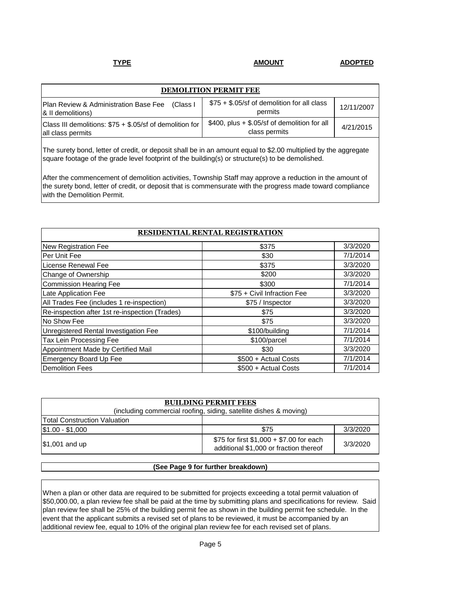| <b>DEMOLITION PERMIT FEE</b>                                                   |                                                                 |            |
|--------------------------------------------------------------------------------|-----------------------------------------------------------------|------------|
| Plan Review & Administration Base Fee (Class I<br>& II demolitions)            | \$75 + \$.05/sf of demolition for all class<br>permits          | 12/11/2007 |
| Class III demolitions: $$75 + $.05$ /sf of demolition for<br>all class permits | $$400$ , plus + \$.05/sf of demolition for all<br>class permits | 4/21/2015  |

The surety bond, letter of credit, or deposit shall be in an amount equal to \$2.00 multiplied by the aggregate square footage of the grade level footprint of the building(s) or structure(s) to be demolished.

After the commencement of demolition activities, Township Staff may approve a reduction in the amount of the surety bond, letter of credit, or deposit that is commensurate with the progress made toward compliance with the Demolition Permit.

| RESIDENTIAL RENTAL REGISTRATION                |                             |          |
|------------------------------------------------|-----------------------------|----------|
| New Registration Fee                           | \$375                       | 3/3/2020 |
| Per Unit Fee                                   | \$30                        | 7/1/2014 |
| License Renewal Fee                            | \$375                       | 3/3/2020 |
| Change of Ownership                            | \$200                       | 3/3/2020 |
| <b>Commission Hearing Fee</b>                  | \$300                       | 7/1/2014 |
| Late Application Fee                           | \$75 + Civil Infraction Fee | 3/3/2020 |
| All Trades Fee (includes 1 re-inspection)      | \$75 / Inspector            | 3/3/2020 |
| Re-inspection after 1st re-inspection (Trades) | \$75                        | 3/3/2020 |
| No Show Fee                                    | \$75                        | 3/3/2020 |
| Unregistered Rental Investigation Fee          | \$100/building              | 7/1/2014 |
| Tax Lein Processing Fee                        | \$100/parcel                | 7/1/2014 |
| Appointment Made by Certified Mail             | \$30                        | 3/3/2020 |
| <b>Emergency Board Up Fee</b>                  | \$500 + Actual Costs        | 7/1/2014 |
| <b>Demolition Fees</b>                         | \$500 + Actual Costs        | 7/1/2014 |

| <b>BUILDING PERMIT FEES</b>                                       |                                                                                    |          |
|-------------------------------------------------------------------|------------------------------------------------------------------------------------|----------|
| (including commercial roofing, siding, satellite dishes & moving) |                                                                                    |          |
| <b>Total Construction Valuation</b>                               |                                                                                    |          |
| $$1.00 - $1,000$                                                  | \$75                                                                               | 3/3/2020 |
| \$1,001 and up                                                    | \$75 for first \$1,000 + \$7.00 for each<br>additional \$1,000 or fraction thereof | 3/3/2020 |

### **(See Page 9 for further breakdown)**

When a plan or other data are required to be submitted for projects exceeding a total permit valuation of \$50,000.00, a plan review fee shall be paid at the time by submitting plans and specifications for review. Said plan review fee shall be 25% of the building permit fee as shown in the building permit fee schedule. In the event that the applicant submits a revised set of plans to be reviewed, it must be accompanied by an additional review fee, equal to 10% of the original plan review fee for each revised set of plans.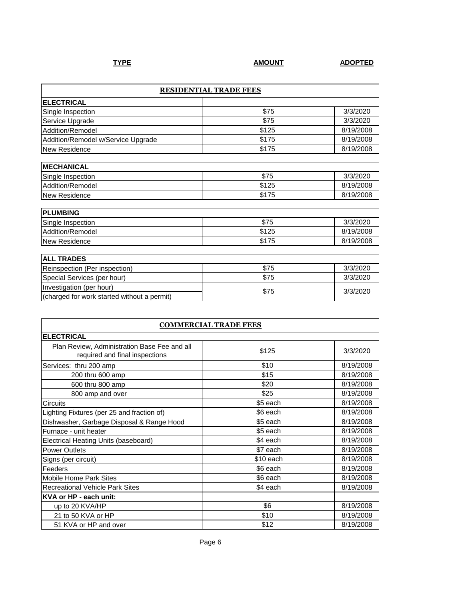| <b>RESIDENTIAL TRADE FEES</b>               |       |           |  |
|---------------------------------------------|-------|-----------|--|
| <b>ELECTRICAL</b>                           |       |           |  |
| Single Inspection                           | \$75  | 3/3/2020  |  |
| Service Upgrade                             | \$75  | 3/3/2020  |  |
| Addition/Remodel                            | \$125 | 8/19/2008 |  |
| Addition/Remodel w/Service Upgrade          | \$175 | 8/19/2008 |  |
| New Residence                               | \$175 | 8/19/2008 |  |
|                                             |       |           |  |
| <b>MECHANICAL</b>                           |       |           |  |
| Single Inspection                           | \$75  | 3/3/2020  |  |
| Addition/Remodel                            | \$125 | 8/19/2008 |  |
| New Residence                               | \$175 | 8/19/2008 |  |
| <b>PLUMBING</b>                             |       |           |  |
| Single Inspection                           | \$75  | 3/3/2020  |  |
| Addition/Remodel                            | \$125 | 8/19/2008 |  |
| New Residence                               | \$175 | 8/19/2008 |  |
|                                             |       |           |  |
| <b>ALL TRADES</b>                           |       |           |  |
| Reinspection (Per inspection)               | \$75  | 3/3/2020  |  |
| Special Services (per hour)                 | \$75  | 3/3/2020  |  |
| Investigation (per hour)                    | \$75  |           |  |
| (charged for work started without a permit) |       | 3/3/2020  |  |

| <b>COMMERCIAL TRADE FEES</b>                                                   |           |           |  |
|--------------------------------------------------------------------------------|-----------|-----------|--|
| <b>ELECTRICAL</b>                                                              |           |           |  |
| Plan Review, Administration Base Fee and all<br>required and final inspections | \$125     | 3/3/2020  |  |
| Services: thru 200 amp                                                         | \$10      | 8/19/2008 |  |
| 200 thru 600 amp                                                               | \$15      | 8/19/2008 |  |
| 600 thru 800 amp                                                               | \$20      | 8/19/2008 |  |
| 800 amp and over                                                               | \$25      | 8/19/2008 |  |
| Circuits                                                                       | \$5 each  | 8/19/2008 |  |
| Lighting Fixtures (per 25 and fraction of)                                     | \$6 each  | 8/19/2008 |  |
| Dishwasher, Garbage Disposal & Range Hood                                      | \$5 each  | 8/19/2008 |  |
| Furnace - unit heater                                                          | \$5 each  | 8/19/2008 |  |
| Electrical Heating Units (baseboard)                                           | \$4 each  | 8/19/2008 |  |
| <b>Power Outlets</b>                                                           | \$7 each  | 8/19/2008 |  |
| Signs (per circuit)                                                            | \$10 each | 8/19/2008 |  |
| Feeders                                                                        | \$6 each  | 8/19/2008 |  |
| Mobile Home Park Sites                                                         | \$6 each  | 8/19/2008 |  |
| <b>Recreational Vehicle Park Sites</b>                                         | \$4 each  | 8/19/2008 |  |
| KVA or HP - each unit:                                                         |           |           |  |
| up to 20 KVA/HP                                                                | \$6       | 8/19/2008 |  |
| 21 to 50 KVA or HP                                                             | \$10      | 8/19/2008 |  |
| 51 KVA or HP and over                                                          | \$12      | 8/19/2008 |  |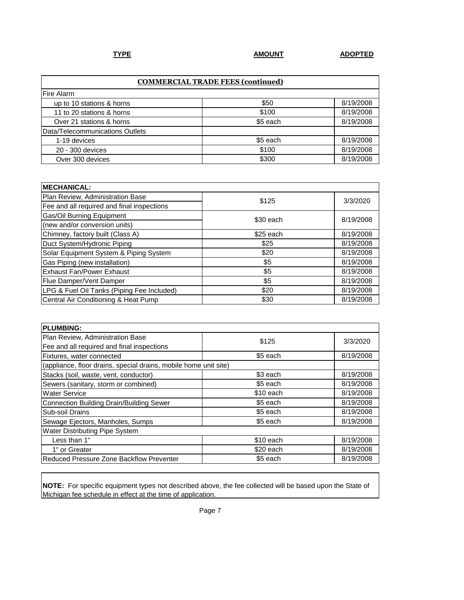| <b>COMMERCIAL TRADE FEES (continued)</b> |          |           |  |
|------------------------------------------|----------|-----------|--|
| Fire Alarm                               |          |           |  |
| up to 10 stations & horns                | \$50     | 8/19/2008 |  |
| 11 to 20 stations & horns                | \$100    | 8/19/2008 |  |
| Over 21 stations & horns                 | \$5 each | 8/19/2008 |  |
| Data/Telecommunications Outlets          |          |           |  |
| 1-19 devices                             | \$5 each | 8/19/2008 |  |
| 20 - 300 devices                         | \$100    | 8/19/2008 |  |
| Over 300 devices                         | \$300    | 8/19/2008 |  |

| <b>MECHANICAL:</b>                         |           |           |  |
|--------------------------------------------|-----------|-----------|--|
| Plan Review, Administration Base           | \$125     | 3/3/2020  |  |
| Fee and all required and final inspections |           |           |  |
| <b>Gas/Oil Burning Equipment</b>           | \$30 each | 8/19/2008 |  |
| (new and/or conversion units)              |           |           |  |
| Chimney, factory built (Class A)           | \$25 each | 8/19/2008 |  |
| Duct System/Hydronic Piping                | \$25      | 8/19/2008 |  |
| Solar Equipment System & Piping System     | \$20      | 8/19/2008 |  |
| Gas Piping (new installation)              | \$5       | 8/19/2008 |  |
| <b>Exhaust Fan/Power Exhaust</b>           | \$5       | 8/19/2008 |  |
| Flue Damper/Vent Damper                    | \$5       | 8/19/2008 |  |
| LPG & Fuel Oil Tanks (Piping Fee Included) | \$20      | 8/19/2008 |  |
| Central Air Conditioning & Heat Pump       | \$30      | 8/19/2008 |  |

| PLUMBING:                                                        |           |           |  |
|------------------------------------------------------------------|-----------|-----------|--|
| Plan Review, Administration Base                                 | \$125     | 3/3/2020  |  |
| Fee and all required and final inspections                       |           |           |  |
| Fixtures, water connected                                        | \$5 each  | 8/19/2008 |  |
| (appliance, floor drains, special drains, mobile home unit site) |           |           |  |
| Stacks (soil, waste, vent, conductor)                            | \$3 each  | 8/19/2008 |  |
| Sewers (sanitary, storm or combined)                             | \$5 each  | 8/19/2008 |  |
| <b>Water Service</b>                                             | \$10 each | 8/19/2008 |  |
| Connection Building Drain/Building Sewer                         | \$5 each  | 8/19/2008 |  |
| Sub-soil Drains                                                  | \$5 each  | 8/19/2008 |  |
| Sewage Ejectors, Manholes, Sumps                                 | \$5 each  | 8/19/2008 |  |
| Water Distributing Pipe System                                   |           |           |  |
| Less than 1"                                                     | \$10 each | 8/19/2008 |  |
| 1" or Greater                                                    | \$20 each | 8/19/2008 |  |
| Reduced Pressure Zone Backflow Preventer                         | \$5 each  | 8/19/2008 |  |

**NOTE:** For specific equipment types not described above, the fee collected will be based upon the State of Michigan fee schedule in effect at the time of application.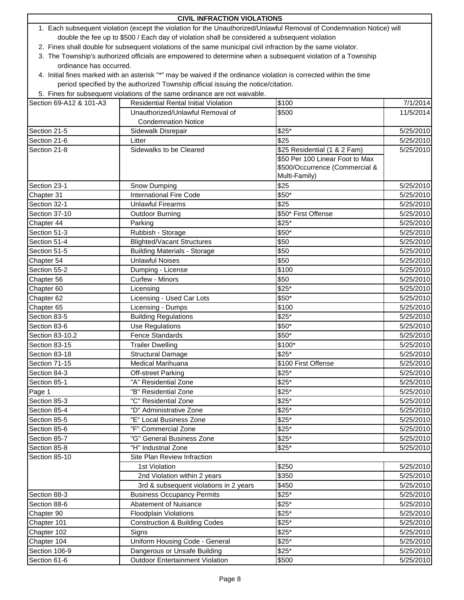| <b>CIVIL INFRACTION VIOLATIONS</b>                                                                                    |                                                                                                                    |                                 |           |
|-----------------------------------------------------------------------------------------------------------------------|--------------------------------------------------------------------------------------------------------------------|---------------------------------|-----------|
| 1. Each subsequent violation (except the violation for the Unauthorized/Unlawful Removal of Condemnation Notice) will |                                                                                                                    |                                 |           |
| double the fee up to \$500 / Each day of violation shall be considered a subsequent violation                         |                                                                                                                    |                                 |           |
|                                                                                                                       | 2. Fines shall double for subsequent violations of the same municipal civil infraction by the same violator.       |                                 |           |
|                                                                                                                       | 3. The Township's authorized officials are empowered to determine when a subsequent violation of a Township        |                                 |           |
| ordinance has occurred.                                                                                               |                                                                                                                    |                                 |           |
|                                                                                                                       | 4. Initial fines marked with an asterisk "*" may be waived if the ordinance violation is corrected within the time |                                 |           |
|                                                                                                                       | period specified by the authorized Township official issuing the notice/citation.                                  |                                 |           |
|                                                                                                                       | 5. Fines for subsequent violations of the same ordinance are not waivable.                                         |                                 |           |
| Section 69-A12 & 101-A3                                                                                               | <b>Residential Rental Initial Violation</b>                                                                        | \$100                           | 7/1/2014  |
|                                                                                                                       | Unauthorized/Unlawful Removal of                                                                                   | \$500                           | 11/5/2014 |
|                                                                                                                       | <b>Condemnation Notice</b>                                                                                         |                                 |           |
| Section 21-5                                                                                                          | Sidewalk Disrepair                                                                                                 | $$25*$                          | 5/25/2010 |
| Section 21-6                                                                                                          | Litter                                                                                                             | \$25                            | 5/25/2010 |
| Section 21-8                                                                                                          | Sidewalks to be Cleared                                                                                            | \$25 Residential (1 & 2 Fam)    | 5/25/2010 |
|                                                                                                                       |                                                                                                                    | \$50 Per 100 Linear Foot to Max |           |
|                                                                                                                       |                                                                                                                    | \$500/Occurrence (Commercial &  |           |
|                                                                                                                       |                                                                                                                    | Multi-Family)                   |           |
| Section 23-1                                                                                                          | Snow Dumping                                                                                                       | \$25                            | 5/25/2010 |
| Chapter 31                                                                                                            | <b>International Fire Code</b>                                                                                     | \$50*                           | 5/25/2010 |
| Section 32-1                                                                                                          | <b>Unlawful Firearms</b>                                                                                           | \$25                            | 5/25/2010 |
| Section 37-10                                                                                                         | <b>Outdoor Burning</b>                                                                                             | \$50* First Offense             | 5/25/2010 |
| Chapter 44                                                                                                            | Parking                                                                                                            | $$25*$                          | 5/25/2010 |
| Section 51-3                                                                                                          | Rubbish - Storage                                                                                                  | \$50*                           | 5/25/2010 |
| Section 51-4                                                                                                          | <b>Blighted/Vacant Structures</b>                                                                                  | \$50                            | 5/25/2010 |
| Section 51-5                                                                                                          | <b>Building Materials - Storage</b>                                                                                | \$50                            | 5/25/2010 |
| Chapter 54                                                                                                            | <b>Unlawful Noises</b>                                                                                             | \$50                            | 5/25/2010 |
| Section 55-2                                                                                                          | Dumping - License                                                                                                  | \$100                           | 5/25/2010 |
| Chapter 56                                                                                                            | Curfew - Minors                                                                                                    | \$50                            | 5/25/2010 |
| Chapter 60                                                                                                            | Licensing                                                                                                          | $$25*$                          | 5/25/2010 |
| Chapter 62                                                                                                            | Licensing - Used Car Lots                                                                                          | \$50*                           | 5/25/2010 |
| Chapter 65                                                                                                            | Licensing - Dumps                                                                                                  | \$100                           | 5/25/2010 |
| Section 83-5                                                                                                          | <b>Building Regulations</b>                                                                                        | \$25*                           | 5/25/2010 |
| Section 83-6                                                                                                          | Use Regulations                                                                                                    | \$50*                           | 5/25/2010 |
| Section 83-10.2                                                                                                       | <b>Fence Standards</b>                                                                                             | \$50*                           | 5/25/2010 |
| Section 83-15                                                                                                         | <b>Trailer Dwelling</b>                                                                                            | \$100*                          | 5/25/2010 |
| Section 83-18                                                                                                         | Structural Damage                                                                                                  | $$25*$                          | 5/25/2010 |
| Section 71-15                                                                                                         | Medical Marihuana                                                                                                  | \$100 First Offense             | 5/25/2010 |
| Section 84-3                                                                                                          | <b>Off-street Parking</b>                                                                                          | $$25*$                          | 5/25/2010 |
| Section 85-1                                                                                                          | "A" Residential Zone                                                                                               | $$25*$                          | 5/25/2010 |
| Page 1                                                                                                                | "B" Residential Zone                                                                                               | $$25*$                          | 5/25/2010 |
| Section 85-3                                                                                                          | "C" Residential Zone                                                                                               | $$25*$                          | 5/25/2010 |
| Section 85-4                                                                                                          | "D" Administrative Zone                                                                                            | \$25*                           | 5/25/2010 |
| Section 85-5                                                                                                          | "E" Local Business Zone                                                                                            | $$25*$                          | 5/25/2010 |
| Section 85-6                                                                                                          | "F" Commercial Zone                                                                                                | $$25*$                          | 5/25/2010 |
| Section 85-7                                                                                                          | "G" General Business Zone                                                                                          | \$25*                           | 5/25/2010 |
| Section 85-8                                                                                                          | "H" Industrial Zone                                                                                                | $$25*$                          | 5/25/2010 |
| Section 85-10                                                                                                         | Site Plan Review Infraction                                                                                        |                                 |           |
|                                                                                                                       |                                                                                                                    | \$250                           |           |
|                                                                                                                       | 1st Violation                                                                                                      |                                 | 5/25/2010 |
|                                                                                                                       | 2nd Violation within 2 years                                                                                       | \$350                           | 5/25/2010 |
|                                                                                                                       | 3rd & subsequent violations in 2 years                                                                             | \$450                           | 5/25/2010 |
| Section 88-3                                                                                                          | <b>Business Occupancy Permits</b>                                                                                  | $$25*$                          | 5/25/2010 |
| Section 88-6                                                                                                          | Abatement of Nuisance                                                                                              | $$25*$                          | 5/25/2010 |
| Chapter 90                                                                                                            | <b>Floodplain Violations</b>                                                                                       | $$25*$                          | 5/25/2010 |
| Chapter 101                                                                                                           | <b>Construction &amp; Building Codes</b>                                                                           | \$25*                           | 5/25/2010 |
| Chapter 102                                                                                                           | Signs                                                                                                              | \$25*                           | 5/25/2010 |
| Chapter 104                                                                                                           | Uniform Housing Code - General                                                                                     | \$25*                           | 5/25/2010 |
| Section 106-9                                                                                                         | Dangerous or Unsafe Building                                                                                       | $$25*$                          | 5/25/2010 |
| Section 61-6                                                                                                          | <b>Outdoor Entertainment Violation</b>                                                                             | \$500                           | 5/25/2010 |